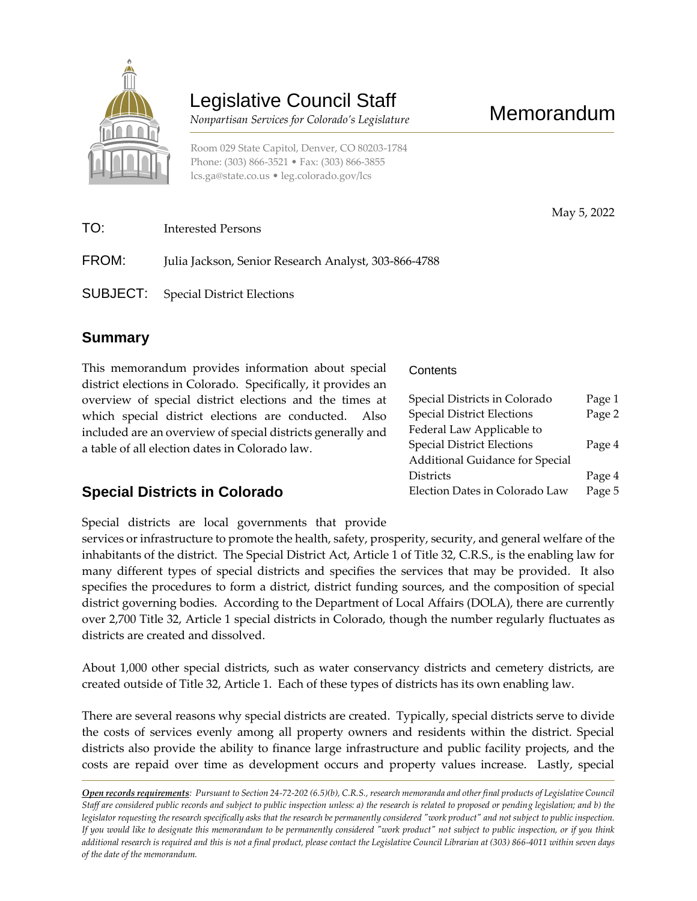

# Legislative Council Staff

 *Nonpartisan Services for Colorado's Legislature*

May 5, 2022

Room 029 State Capitol, Denver, CO 80203-1784 Phone: (303) 866-3521 • Fax: (303) 866-3855 [lcs.ga@state.co.us](mailto:lcs.ga@state.co.us) • [leg.colorado.gov/lcs](http://leg.colorado.gov/lcs)

| TO:   | Interested Persons                                   |
|-------|------------------------------------------------------|
| FROM: | Julia Jackson, Senior Research Analyst, 303-866-4788 |
|       | <b>SUBJECT:</b> Special District Elections           |

### **Summary**

This memorandum provides information about special district elections in Colorado. Specifically, it provides an overview of special district elections and the times at which special district elections are conducted. Also included are an overview of special districts generally and a table of all election dates in Colorado law.

## **Special Districts in Colorado**

**Contents** 

| Special Districts in Colorado     | Page 1 |
|-----------------------------------|--------|
| <b>Special District Elections</b> | Page 2 |
| Federal Law Applicable to         |        |
| <b>Special District Elections</b> | Page 4 |
| Additional Guidance for Special   |        |
| <b>Districts</b>                  | Page 4 |
| Election Dates in Colorado Law    | Page 5 |

Special districts are local governments that provide

services or infrastructure to promote the health, safety, prosperity, security, and general welfare of the inhabitants of the district. The Special District Act, Article 1 of Title 32, C.R.S., is the enabling law for many different types of special districts and specifies the services that may be provided. It also specifies the procedures to form a district, district funding sources, and the composition of special district governing bodies. According to the Department of Local Affairs (DOLA), there are currently over 2,700 Title 32, Article 1 special districts in Colorado, though the number regularly fluctuates as districts are created and dissolved.

About 1,000 other special districts, such as water conservancy districts and cemetery districts, are created outside of Title 32, Article 1. Each of these types of districts has its own enabling law.

There are several reasons why special districts are created. Typically, special districts serve to divide the costs of services evenly among all property owners and residents within the district. Special districts also provide the ability to finance large infrastructure and public facility projects, and the costs are repaid over time as development occurs and property values increase. Lastly, special

*Open records requirements: Pursuant to Section 24-72-202 (6.5)(b), C.R.S., research memoranda and other final products of Legislative Council Staff are considered public records and subject to public inspection unless: a) the research is related to proposed or pending legislation; and b) the legislator requesting the research specifically asks that the research be permanently considered "work product" and not subject to public inspection. If you would like to designate this memorandum to be permanently considered "work product" not subject to public inspection, or if you think additional research is required and this is not a final product, please contact the Legislative Council Librarian at (303) 866-4011 within seven days of the date of the memorandum.*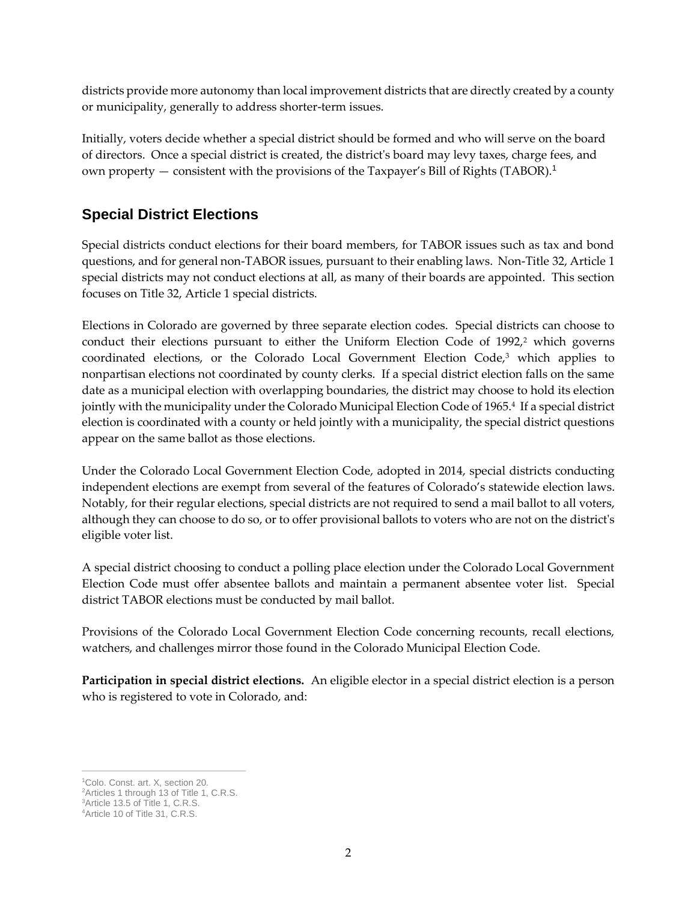districts provide more autonomy than local improvement districts that are directly created by a county or municipality, generally to address shorter-term issues.

Initially, voters decide whether a special district should be formed and who will serve on the board of directors. Once a special district is created, the district's board may levy taxes, charge fees, and own property — consistent with the provisions of the Taxpayer's Bill of Rights (TABOR).<sup>1</sup>

#### **Special District Elections**

Special districts conduct elections for their board members, for TABOR issues such as tax and bond questions, and for general non-TABOR issues, pursuant to their enabling laws. Non-Title 32, Article 1 special districts may not conduct elections at all, as many of their boards are appointed. This section focuses on Title 32, Article 1 special districts.

Elections in Colorado are governed by three separate election codes. Special districts can choose to conduct their elections pursuant to either the Uniform Election Code of  $1992<sub>i</sub><sup>2</sup>$  which governs coordinated elections, or the Colorado Local Government Election Code,<sup>3</sup> which applies to nonpartisan elections not coordinated by county clerks. If a special district election falls on the same date as a municipal election with overlapping boundaries, the district may choose to hold its election jointly with the municipality under the Colorado Municipal Election Code of 1965.<sup>4</sup> If a special district election is coordinated with a county or held jointly with a municipality, the special district questions appear on the same ballot as those elections.

Under the Colorado Local Government Election Code, adopted in 2014, special districts conducting independent elections are exempt from several of the features of Colorado's statewide election laws. Notably, for their regular elections, special districts are not required to send a mail ballot to all voters, although they can choose to do so, or to offer provisional ballots to voters who are not on the district's eligible voter list.

A special district choosing to conduct a polling place election under the Colorado Local Government Election Code must offer absentee ballots and maintain a permanent absentee voter list. Special district TABOR elections must be conducted by mail ballot.

Provisions of the Colorado Local Government Election Code concerning recounts, recall elections, watchers, and challenges mirror those found in the Colorado Municipal Election Code.

**Participation in special district elections.** An eligible elector in a special district election is a person who is registered to vote in Colorado, and:

 $\overline{a}$ 

<sup>1</sup>Colo. Const. art. X, section 20.

<sup>&</sup>lt;sup>2</sup> Articles 1 through 13 of Title 1, C.R.S.

<sup>&</sup>lt;sup>3</sup>Article 13.5 of Title 1, C.R.S.

<sup>4</sup>Article 10 of Title 31, C.R.S.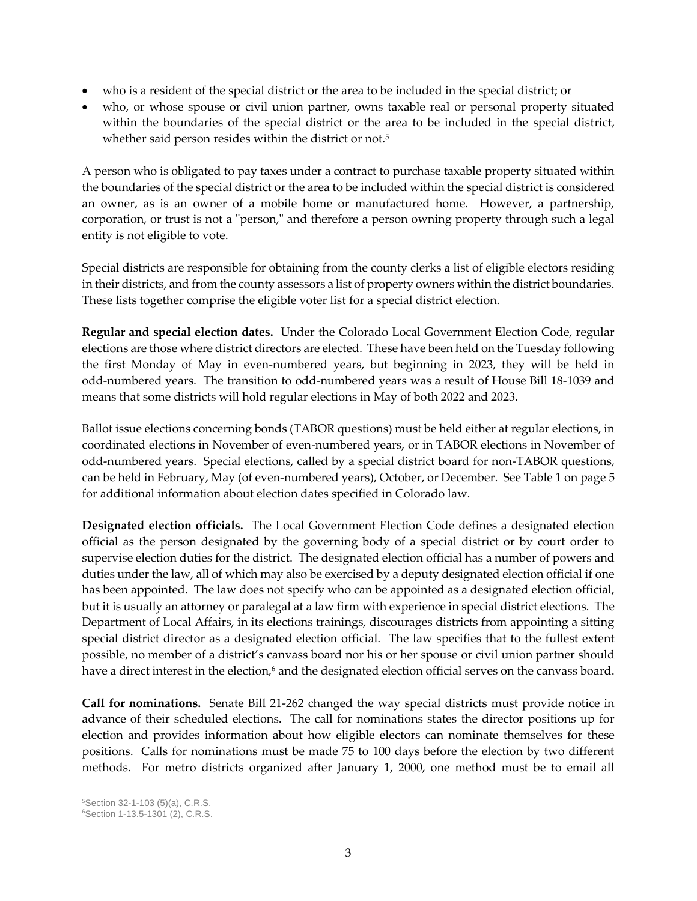- who is a resident of the special district or the area to be included in the special district; or
- who, or whose spouse or civil union partner, owns taxable real or personal property situated within the boundaries of the special district or the area to be included in the special district, whether said person resides within the district or not.<sup>5</sup>

A person who is obligated to pay taxes under a contract to purchase taxable property situated within the boundaries of the special district or the area to be included within the special district is considered an owner, as is an owner of a mobile home or manufactured home. However, a partnership, corporation, or trust is not a "person," and therefore a person owning property through such a legal entity is not eligible to vote.

Special districts are responsible for obtaining from the county clerks a list of eligible electors residing in their districts, and from the county assessors a list of property owners within the district boundaries. These lists together comprise the eligible voter list for a special district election.

**Regular and special election dates.** Under the Colorado Local Government Election Code, regular elections are those where district directors are elected. These have been held on the Tuesday following the first Monday of May in even-numbered years, but beginning in 2023, they will be held in odd-numbered years. The transition to odd-numbered years was a result of House Bill 18-1039 and means that some districts will hold regular elections in May of both 2022 and 2023.

Ballot issue elections concerning bonds (TABOR questions) must be held either at regular elections, in coordinated elections in November of even-numbered years, or in TABOR elections in November of odd-numbered years. Special elections, called by a special district board for non-TABOR questions, can be held in February, May (of even-numbered years), October, or December. See Table 1 on page 5 for additional information about election dates specified in Colorado law.

**Designated election officials.** The Local Government Election Code defines a designated election official as the person designated by the governing body of a special district or by court order to supervise election duties for the district. The designated election official has a number of powers and duties under the law, all of which may also be exercised by a deputy designated election official if one has been appointed. The law does not specify who can be appointed as a designated election official, but it is usually an attorney or paralegal at a law firm with experience in special district elections. The Department of Local Affairs, in its elections trainings, discourages districts from appointing a sitting special district director as a designated election official. The law specifies that to the fullest extent possible, no member of a district's canvass board nor his or her spouse or civil union partner should have a direct interest in the election,<sup>6</sup> and the designated election official serves on the canvass board.

**Call for nominations.** Senate Bill 21-262 changed the way special districts must provide notice in advance of their scheduled elections. The call for nominations states the director positions up for election and provides information about how eligible electors can nominate themselves for these positions. Calls for nominations must be made 75 to 100 days before the election by two different methods. For metro districts organized after January 1, 2000, one method must be to email all

 $\overline{a}$ <sup>5</sup>Section 32-1-103 (5)(a), C.R.S.

<sup>6</sup>Section 1-13.5-1301 (2), C.R.S.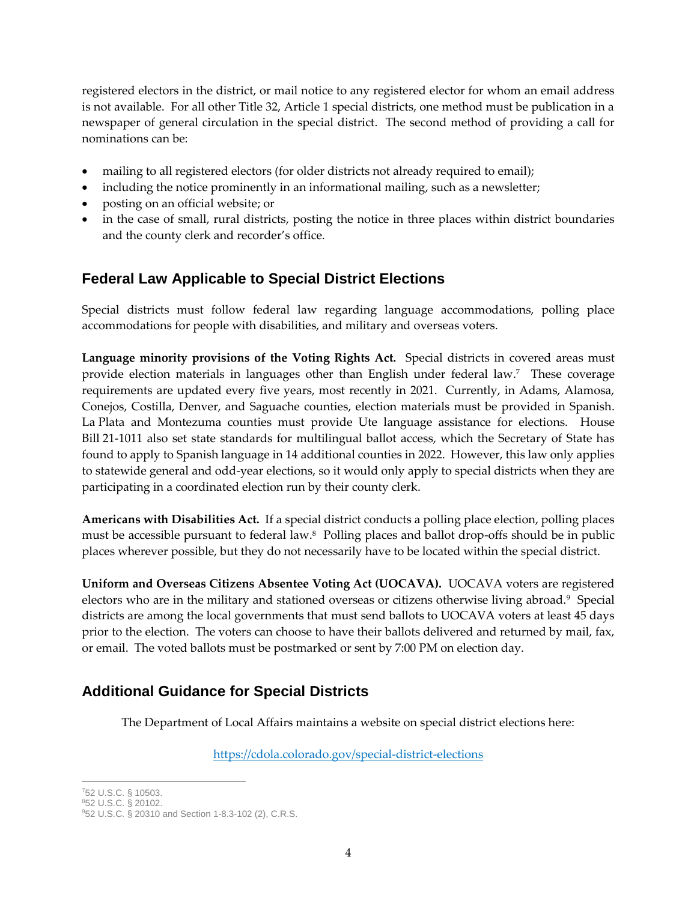registered electors in the district, or mail notice to any registered elector for whom an email address is not available. For all other Title 32, Article 1 special districts, one method must be publication in a newspaper of general circulation in the special district. The second method of providing a call for nominations can be:

- mailing to all registered electors (for older districts not already required to email);
- including the notice prominently in an informational mailing, such as a newsletter;
- posting on an official website; or
- in the case of small, rural districts, posting the notice in three places within district boundaries and the county clerk and recorder's office.

#### **Federal Law Applicable to Special District Elections**

Special districts must follow federal law regarding language accommodations, polling place accommodations for people with disabilities, and military and overseas voters.

**Language minority provisions of the Voting Rights Act.** Special districts in covered areas must provide election materials in languages other than English under federal law. 7 These coverage requirements are updated every five years, most recently in 2021. Currently, in Adams, Alamosa, Conejos, Costilla, Denver, and Saguache counties, election materials must be provided in Spanish. La Plata and Montezuma counties must provide Ute language assistance for elections. House Bill 21-1011 also set state standards for multilingual ballot access, which the Secretary of State has found to apply to Spanish language in 14 additional counties in 2022. However, this law only applies to statewide general and odd-year elections, so it would only apply to special districts when they are participating in a coordinated election run by their county clerk.

**Americans with Disabilities Act.** If a special district conducts a polling place election, polling places must be accessible pursuant to federal law.<sup>8</sup> Polling places and ballot drop-offs should be in public places wherever possible, but they do not necessarily have to be located within the special district.

**Uniform and Overseas Citizens Absentee Voting Act (UOCAVA).** UOCAVA voters are registered electors who are in the military and stationed overseas or citizens otherwise living abroad.<sup>9</sup> Special districts are among the local governments that must send ballots to UOCAVA voters at least 45 days prior to the election. The voters can choose to have their ballots delivered and returned by mail, fax, or email. The voted ballots must be postmarked or sent by 7:00 PM on election day.

#### **Additional Guidance for Special Districts**

The Department of Local Affairs maintains a website on special district elections here:

<https://cdola.colorado.gov/special-district-elections>

 $\overline{a}$ 

<sup>7</sup>52 U.S.C. § 10503.

<sup>852</sup> U.S.C. § 20102.

<sup>9</sup>52 U.S.C. § 20310 and Section 1-8.3-102 (2), C.R.S.